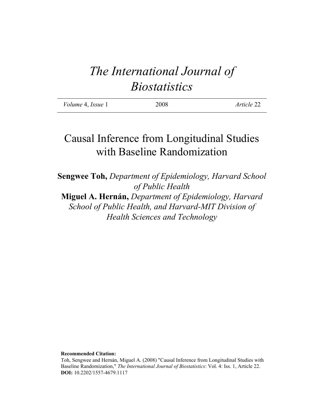# *The International Journal of Biostatistics*

| <i>Volume</i> 4, <i>Issue</i> 1 | 2008 | Article 22 |
|---------------------------------|------|------------|
|                                 |      |            |

## Causal Inference from Longitudinal Studies with Baseline Randomization

**Sengwee Toh,** *Department of Epidemiology, Harvard School of Public Health* **Miguel A. Hernán,** *Department of Epidemiology, Harvard School of Public Health, and Harvard-MIT Division of Health Sciences and Technology*

**Recommended Citation:**

Toh, Sengwee and Hernán, Miguel A. (2008) "Causal Inference from Longitudinal Studies with Baseline Randomization," *The International Journal of Biostatistics*: Vol. 4: Iss. 1, Article 22. **DOI:** 10.2202/1557-4679.1117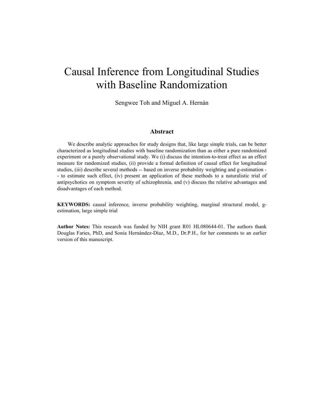## Causal Inference from Longitudinal Studies with Baseline Randomization

Sengwee Toh and Miguel A. Hernán

#### **Abstract**

We describe analytic approaches for study designs that, like large simple trials, can be better characterized as longitudinal studies with baseline randomization than as either a pure randomized experiment or a purely observational study. We (i) discuss the intention-to-treat effect as an effect measure for randomized studies, (ii) provide a formal definition of causal effect for longitudinal studies, (iii) describe several methods -- based on inverse probability weighting and g-estimation - - to estimate such effect, (iv) present an application of these methods to a naturalistic trial of antipsychotics on symptom severity of schizophrenia, and (v) discuss the relative advantages and disadvantages of each method.

**KEYWORDS:** causal inference, inverse probability weighting, marginal structural model, gestimation, large simple trial

**Author Notes:** This research was funded by NIH grant R01 HL080644-01. The authors thank Douglas Faries, PhD, and Sonia Hernández-Díaz, M.D., Dr.P.H., for her comments to an earlier version of this manuscript.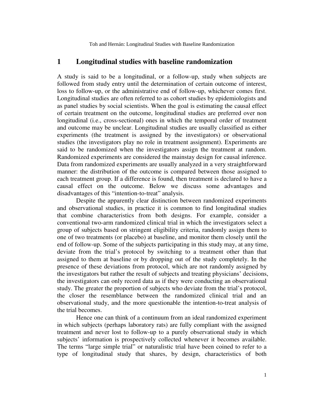#### **1 Longitudinal studies with baseline randomization**

A study is said to be a longitudinal, or a follow-up, study when subjects are followed from study entry until the determination of certain outcome of interest, loss to follow-up, or the administrative end of follow-up, whichever comes first. Longitudinal studies are often referred to as cohort studies by epidemiologists and as panel studies by social scientists. When the goal is estimating the causal effect of certain treatment on the outcome, longitudinal studies are preferred over non longitudinal (i.e., cross-sectional) ones in which the temporal order of treatment and outcome may be unclear. Longitudinal studies are usually classified as either experiments (the treatment is assigned by the investigators) or observational studies (the investigators play no role in treatment assignment). Experiments are said to be randomized when the investigators assign the treatment at random. Randomized experiments are considered the mainstay design for causal inference. Data from randomized experiments are usually analyzed in a very straightforward manner: the distribution of the outcome is compared between those assigned to each treatment group. If a difference is found, then treatment is declared to have a causal effect on the outcome. Below we discuss some advantages and disadvantages of this "intention-to-treat" analysis.

Despite the apparently clear distinction between randomized experiments and observational studies, in practice it is common to find longitudinal studies that combine characteristics from both designs. For example, consider a conventional two-arm randomized clinical trial in which the investigators select a group of subjects based on stringent eligibility criteria, randomly assign them to one of two treatments (or placebo) at baseline, and monitor them closely until the end of follow-up. Some of the subjects participating in this study may, at any time, deviate from the trial's protocol by switching to a treatment other than that assigned to them at baseline or by dropping out of the study completely. In the presence of these deviations from protocol, which are not randomly assigned by the investigators but rather the result of subjects and treating physicians' decisions, the investigators can only record data as if they were conducting an observational study. The greater the proportion of subjects who deviate from the trial's protocol, the closer the resemblance between the randomized clinical trial and an observational study, and the more questionable the intention-to-treat analysis of the trial becomes.

Hence one can think of a continuum from an ideal randomized experiment in which subjects (perhaps laboratory rats) are fully compliant with the assigned treatment and never lost to follow-up to a purely observational study in which subjects' information is prospectively collected whenever it becomes available. The terms "large simple trial" or naturalistic trial have been coined to refer to a type of longitudinal study that shares, by design, characteristics of both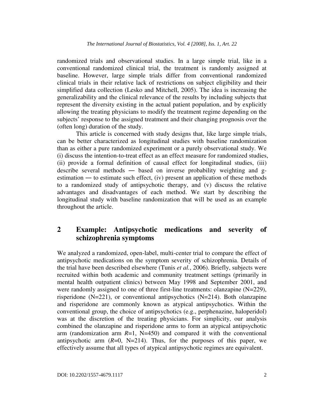randomized trials and observational studies. In a large simple trial, like in a conventional randomized clinical trial, the treatment is randomly assigned at baseline. However, large simple trials differ from conventional randomized clinical trials in their relative lack of restrictions on subject eligibility and their simplified data collection (Lesko and Mitchell, 2005). The idea is increasing the generalizability and the clinical relevance of the results by including subjects that represent the diversity existing in the actual patient population, and by explicitly allowing the treating physicians to modify the treatment regime depending on the subjects' response to the assigned treatment and their changing prognosis over the (often long) duration of the study.

This article is concerned with study designs that, like large simple trials, can be better characterized as longitudinal studies with baseline randomization than as either a pure randomized experiment or a purely observational study. We (i) discuss the intention-to-treat effect as an effect measure for randomized studies, (ii) provide a formal definition of causal effect for longitudinal studies, (iii) describe several methods ― based on inverse probability weighting and gestimation ― to estimate such effect, (iv) present an application of these methods to a randomized study of antipsychotic therapy, and (v) discuss the relative advantages and disadvantages of each method. We start by describing the longitudinal study with baseline randomization that will be used as an example throughout the article.

### **2 Example: Antipsychotic medications and severity of schizophrenia symptoms**

We analyzed a randomized, open-label, multi-center trial to compare the effect of antipsychotic medications on the symptom severity of schizophrenia. Details of the trial have been described elsewhere (Tunis *et al.*, 2006). Briefly, subjects were recruited within both academic and community treatment settings (primarily in mental health outpatient clinics) between May 1998 and September 2001, and were randomly assigned to one of three first-line treatments: olanzapine (N=229), risperidone (N=221), or conventional antipsychotics (N=214). Both olanzapine and risperidone are commonly known as atypical antipsychotics. Within the conventional group, the choice of antipsychotics (e.g., perphenazine, haloperidol) was at the discretion of the treating physicians. For simplicity, our analysis combined the olanzapine and risperidone arms to form an atypical antipsychotic arm (randomization arm  $R=1$ , N=450) and compared it with the conventional antipsychotic arm  $(R=0, N=214)$ . Thus, for the purposes of this paper, we effectively assume that all types of atypical antipsychotic regimes are equivalent.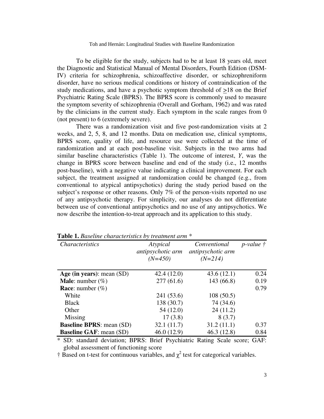To be eligible for the study, subjects had to be at least 18 years old, meet the Diagnostic and Statistical Manual of Mental Disorders, Fourth Edition (DSM-IV) criteria for schizophrenia, schizoaffective disorder, or schizophreniform disorder, have no serious medical conditions or history of contraindication of the study medications, and have a psychotic symptom threshold of >18 on the Brief Psychiatric Rating Scale (BPRS). The BPRS score is commonly used to measure the symptom severity of schizophrenia (Overall and Gorham, 1962) and was rated by the clinicians in the current study. Each symptom in the scale ranges from 0 (not present) to 6 (extremely severe).

There was a randomization visit and five post-randomization visits at 2 weeks, and 2, 5, 8, and 12 months. Data on medication use, clinical symptoms, BPRS score, quality of life, and resource use were collected at the time of randomization and at each post-baseline visit. Subjects in the two arms had similar baseline characteristics (Table 1). The outcome of interest, *Y*, was the change in BPRS score between baseline and end of the study (i.e., 12 months post-baseline), with a negative value indicating a clinical improvement. For each subject, the treatment assigned at randomization could be changed (e.g., from conventional to atypical antipsychotics) during the study period based on the subject's response or other reasons. Only 7% of the person-visits reported no use of any antipsychotic therapy. For simplicity, our analyses do not differentiate between use of conventional antipsychotics and no use of any antipsychotics. We now describe the intention-to-treat approach and its application to this study.

| <i>Characteristics</i>          | Atypical<br>antipsychotic arm<br>$(N=450)$ | Conventional<br>antipsychotic arm<br>$(N=214)$ | $p$ -value $\ddagger$ |
|---------------------------------|--------------------------------------------|------------------------------------------------|-----------------------|
| Age (in years): mean $(SD)$     | 42.4(12.0)                                 | 43.6(12.1)                                     | 0.24                  |
| <b>Male:</b> number $(\%)$      | 277(61.6)                                  | 143 (66.8)                                     | 0.19                  |
| <b>Race:</b> number $(\%)$      |                                            |                                                | 0.79                  |
| White                           | 241 (53.6)                                 | 108(50.5)                                      |                       |
| <b>Black</b>                    | 138 (30.7)                                 | 74 (34.6)                                      |                       |
| Other                           | 54 (12.0)                                  | 24(11.2)                                       |                       |
| Missing                         | 17(3.8)                                    | 8(3.7)                                         |                       |
| <b>Baseline BPRS:</b> mean (SD) | 32.1(11.7)                                 | 31.2(11.1)                                     | 0.37                  |
| <b>Baseline GAF: mean (SD)</b>  | 46.0(12.9)                                 | 46.3(12.8)                                     | 0.84                  |

**Table 1.** *Baseline characteristics by treatment arm \** 

\* SD: standard deviation; BPRS: Brief Psychiatric Rating Scale score; GAF: global assessment of functioning score

 $\dagger$  Based on t-test for continuous variables, and  $\chi^2$  test for categorical variables.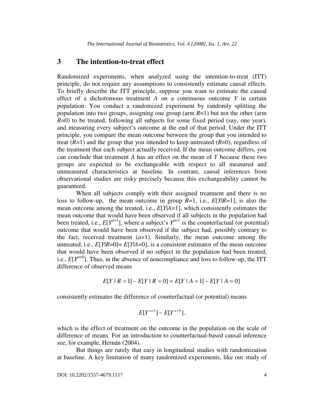### **3 The intention-to-treat effect**

Randomized experiments, when analyzed using the intention-to-treat (ITT) principle, do not require any assumptions to consistently estimate causal effects. To briefly describe the ITT principle, suppose you want to estimate the causal effect of a dichotomous treatment *A* on a continuous outcome *Y* in certain population. You conduct a randomized experiment by randomly splitting the population into two groups, assigning one group (arm *R*=1) but not the other (arm *R*=0) to be treated, following all subjects for some fixed period (say, one year), and measuring every subject's outcome at the end of that period. Under the ITT principle, you compare the mean outcome between the group that you intended to treat  $(R=1)$  and the group that you intended to keep untreated  $(R=0)$ , regardless of the treatment that each subject actually received. If the mean outcome differs, you can conclude that treatment *A* has an effect on the mean of *Y* because these two groups are expected to be exchangeable with respect to all measured and unmeasured characteristics at baseline. In contrast, causal inferences from observational studies are risky precisely because this exchangeability cannot be guaranteed.

When all subjects comply with their assigned treatment and there is no loss to follow-up, the mean outcome in group *R*=1, i.e., *E*[*Y*|*R*=1], is also the mean outcome among the treated, i.e., *E*[*Y*|*A*=1], which consistently estimates the mean outcome that would have been observed if all subjects in the population had been treated, i.e.,  $E[Y^{a=1}]$ , where a subject's  $Y^{a=1}$  is the counterfactual (or potential) outcome that would have been observed if the subject had, possibly contrary to the fact, received treatment  $(a=1)$ . Similarly, the mean outcome among the untreated, i.e.,  $E[Y|R=0] = E[Y|A=0]$ , is a consistent estimator of the mean outcome that would have been observed if no subject in the population had been treated, i.e.,  $E[Y^{a=0}]$ . Thus, in the absence of noncompliance and loss to follow-up, the ITT difference of observed means

$$
E[Y \mid R = 1] - E[Y \mid R = 0] = E[Y \mid A = 1] - E[Y \mid A = 0]
$$

consistently estimates the difference of counterfactual (or potential) means

$$
E[Y^{a=1}]-E[Y^{a=0}],
$$

which is the effect of treatment on the outcome in the population on the scale of difference of means. For an introduction to counterfactual-based causal inference see, for example, Hernán (2004).

But things are rarely that easy in longitudinal studies with randomization at baseline. A key limitation of many randomized experiments, like our study of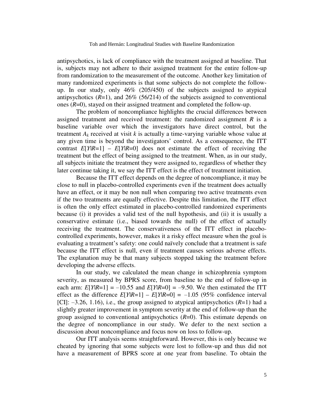antipsychotics, is lack of compliance with the treatment assigned at baseline. That is, subjects may not adhere to their assigned treatment for the entire follow-up from randomization to the measurement of the outcome. Another key limitation of many randomized experiments is that some subjects do not complete the followup. In our study, only 46% (205/450) of the subjects assigned to atypical antipsychotics  $(R=1)$ , and  $26\%$  (56/214) of the subjects assigned to conventional ones (*R*=0), stayed on their assigned treatment and completed the follow-up.

The problem of noncompliance highlights the crucial differences between assigned treatment and received treatment: the randomized assignment *R* is a baseline variable over which the investigators have direct control, but the treatment  $A_k$  received at visit  $k$  is actually a time-varying variable whose value at any given time is beyond the investigators' control. As a consequence, the ITT contrast  $E[Y|R=1] - E[Y|R=0]$  does not estimate the effect of receiving the treatment but the effect of being assigned to the treatment. When, as in our study, all subjects initiate the treatment they were assigned to, regardless of whether they later continue taking it, we say the ITT effect is the effect of treatment initiation.

Because the ITT effect depends on the degree of noncompliance, it may be close to null in placebo-controlled experiments even if the treatment does actually have an effect, or it may be non null when comparing two active treatments even if the two treatments are equally effective. Despite this limitation, the ITT effect is often the only effect estimated in placebo-controlled randomized experiments because (i) it provides a valid test of the null hypothesis, and (ii) it is usually a conservative estimate (i.e., biased towards the null) of the effect of actually receiving the treatment. The conservativeness of the ITT effect in placebocontrolled experiments, however, makes it a risky effect measure when the goal is evaluating a treatment's safety: one could naïvely conclude that a treatment is safe because the ITT effect is null, even if treatment causes serious adverse effects. The explanation may be that many subjects stopped taking the treatment before developing the adverse effects.

In our study, we calculated the mean change in schizophrenia symptom severity, as measured by BPRS score, from baseline to the end of follow-up in each arm:  $E[Y|R=1] = -10.55$  and  $E[Y|R=0] = -9.50$ . We then estimated the ITT effect as the difference  $E[Y|R=1] - E[Y|R=0] = -1.05$  (95% confidence interval [CI]: —3.26, 1.16), i.e., the group assigned to atypical antipsychotics (*R*=1) had a slightly greater improvement in symptom severity at the end of follow-up than the group assigned to conventional antipsychotics  $(R=0)$ . This estimate depends on the degree of noncompliance in our study. We defer to the next section a discussion about noncompliance and focus now on loss to follow-up.

Our ITT analysis seems straightforward. However, this is only because we cheated by ignoring that some subjects were lost to follow-up and thus did not have a measurement of BPRS score at one year from baseline. To obtain the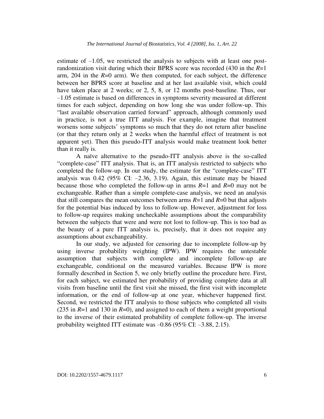estimate of —1.05, we restricted the analysis to subjects with at least one postrandomization visit during which their BPRS score was recorded (430 in the *R*=1 arm,  $204$  in the  $R=0$  arm). We then computed, for each subject, the difference between her BPRS score at baseline and at her last available visit, which could have taken place at 2 weeks; or 2, 5, 8, or 12 months post-baseline. Thus, our —1.05 estimate is based on differences in symptoms severity measured at different times for each subject, depending on how long she was under follow-up. This "last available observation carried forward" approach, although commonly used in practice, is not a true ITT analysis. For example, imagine that treatment worsens some subjects' symptoms so much that they do not return after baseline (or that they return only at 2 weeks when the harmful effect of treatment is not apparent yet). Then this pseudo-ITT analysis would make treatment look better than it really is.

A naïve alternative to the pseudo-ITT analysis above is the so-called "complete-case" ITT analysis. That is, an ITT analysis restricted to subjects who completed the follow-up. In our study, the estimate for the "complete-case" ITT analysis was  $0.42$  (95% CI:  $-2.36$ , 3.19). Again, this estimate may be biased because those who completed the follow-up in arms *R*=1 and *R*=0 may not be exchangeable. Rather than a simple complete-case analysis, we need an analysis that still compares the mean outcomes between arms  $R=1$  and  $R=0$  but that adjusts for the potential bias induced by loss to follow-up. However, adjustment for loss to follow-up requires making uncheckable assumptions about the comparability between the subjects that were and were not lost to follow-up. This is too bad as the beauty of a pure ITT analysis is, precisely, that it does not require any assumptions about exchangeability.

In our study, we adjusted for censoring due to incomplete follow-up by using inverse probability weighting (IPW). IPW requires the untestable assumption that subjects with complete and incomplete follow-up are exchangeable, conditional on the measured variables. Because IPW is more formally described in Section 5, we only briefly outline the procedure here. First, for each subject, we estimated her probability of providing complete data at all visits from baseline until the first visit she missed, the first visit with incomplete information, or the end of follow-up at one year, whichever happened first. Second, we restricted the ITT analysis to those subjects who completed all visits (235 in *R*=1 and 130 in *R*=0), and assigned to each of them a weight proportional to the inverse of their estimated probability of complete follow-up. The inverse probability weighted ITT estimate was  $-0.86$  (95% CI:  $-3.88$ , 2.15).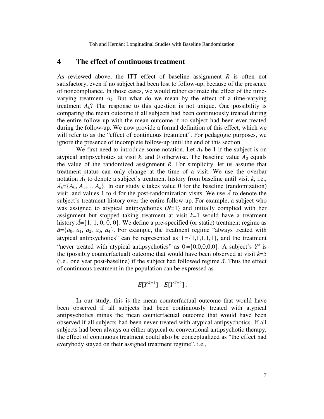#### **4 The effect of continuous treatment**

As reviewed above, the ITT effect of baseline assignment *R* is often not satisfactory, even if no subject had been lost to follow-up, because of the presence of noncompliance. In those cases, we would rather estimate the effect of the timevarying treatment  $A_k$ . But what do we mean by the effect of a time-varying treatment  $A_k$ ? The response to this question is not unique. One possibility is comparing the mean outcome if all subjects had been continuously treated during the entire follow-up with the mean outcome if no subject had been ever treated during the follow-up. We now provide a formal definition of this effect, which we will refer to as the "effect of continuous treatment". For pedagogic purposes, we ignore the presence of incomplete follow-up until the end of this section.

We first need to introduce some notation. Let  $A_k$  be 1 if the subject is on atypical antipsychotics at visit  $k$ , and 0 otherwise. The baseline value  $A_0$  equals the value of the randomized assignment *R*. For simplicity, let us assume that treatment status can only change at the time of a visit. We use the overbar notation  $\bar{A}_k$  to denote a subject's treatment history from baseline until visit  $k$ , i.e.,  $\bar{A}_k = \{A_0, A_1, \ldots, A_k\}$ . In our study *k* takes value 0 for the baseline (randomization) visit, and values 1 to 4 for the post-randomization visits. We use  $\bar{A}$  to denote the subject's treatment history over the entire follow-up. For example, a subject who was assigned to atypical antipsychotics (*R*=1) and initially complied with her assignment but stopped taking treatment at visit *k*=1 would have a treatment history  $\bar{A} = \{1, 1, 0, 0, 0\}$ . We define a pre-specified (or static) treatment regime as  $\bar{a} = \{a_0, a_1, a_2, a_3, a_4\}$ . For example, the treatment regime "always treated with atypical antipsychotics" can be represented as  $\overline{1} = \{1,1,1,1,1\}$ , and the treatment "never treated with atypical antipsychotics" as  $\overline{0} = \{0,0,0,0,0\}$ . A subject's  $Y^{\overline{a}}$  is the (possibly counterfactual) outcome that would have been observed at visit  $k=5$ (i.e., one year post-baseline) if the subject had followed regime  $\bar{a}$ . Thus the effect of continuous treatment in the population can be expressed as

$$
E[Y^{\overline{a}=\overline{1}}]-E[Y^{\overline{a}=\overline{0}}].
$$

In our study, this is the mean counterfactual outcome that would have been observed if all subjects had been continuously treated with atypical antipsychotics minus the mean counterfactual outcome that would have been observed if all subjects had been never treated with atypical antipsychotics. If all subjects had been always on either atypical or conventional antipsychotic therapy, the effect of continuous treatment could also be conceptualized as "the effect had everybody stayed on their assigned treatment regime", i.e.,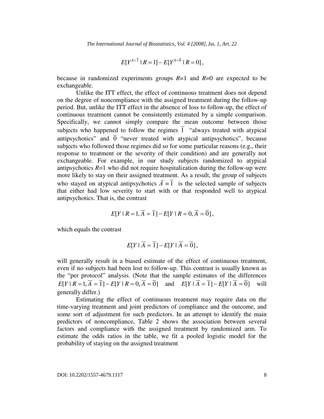$$
E[Y^{\overline{a}=\overline{1}} | R=1] - E[Y^{\overline{a}=\overline{0}} | R=0],
$$

because in randomized experiments groups *R*=1 and *R*=0 are expected to be exchangeable.

Unlike the ITT effect, the effect of continuous treatment does not depend on the degree of noncompliance with the assigned treatment during the follow-up period. But, unlike the ITT effect in the absence of loss to follow-up, the effect of continuous treatment cannot be consistently estimated by a simple comparison. Specifically, we cannot simply compare the mean outcome between those subjects who happened to follow the regimes  $\overline{1}$  "always treated with atypical antipsychotics" and  $\overline{0}$  "never treated with atypical antipsychotics", because subjects who followed those regimes did so for some particular reasons (e.g., their response to treatment or the severity of their condition) and are generally not exchangeable. For example, in our study subjects randomized to atypical antipsychotics  $R=1$  who did not require hospitalization during the follow-up were more likely to stay on their assigned treatment. As a result, the group of subjects who stayed on atypical antipsychotics  $\overline{A} = \overline{1}$  is the selected sample of subjects that either had low severity to start with or that responded well to atypical antipsychotics. That is, the contrast

$$
E[Y \mid R = 1, A = 1] - E[Y \mid R = 0, A = 0],
$$

which equals the contrast

$$
E[Y \mid \overline{A} = \overline{1}] - E[Y \mid \overline{A} = \overline{0}],
$$

will generally result in a biased estimate of the effect of continuous treatment, even if no subjects had been lost to follow-up. This contrast is usually known as the "per protocol" analysis. (Note that the sample estimates of the differences *E*[*Y* |  $R = 1$ ,  $\overline{A} = \overline{1}$ ] − *E*[*Y* |  $R = 0$ ,  $\overline{A} = \overline{0}$ ] and  $E[Y | \overline{A} = \overline{1}] - E[Y | \overline{A} = \overline{0}]$  will generally differ.)

Estimating the effect of continuous treatment may require data on the time-varying treatment and joint predictors of compliance and the outcome, and some sort of adjustment for such predictors. In an attempt to identify the main predictors of noncompliance, Table 2 shows the association between several factors and compliance with the assigned treatment by randomized arm. To estimate the odds ratios in the table, we fit a pooled logistic model for the probability of staying on the assigned treatment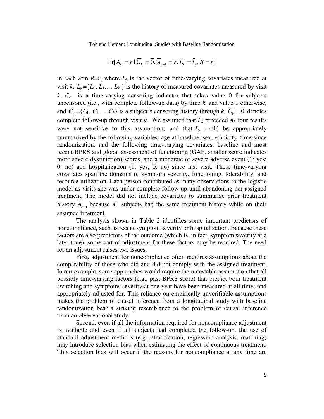$$
Pr[A_{k} = r \mid \overline{C}_{k} = \overline{0}, \overline{A}_{k-1} = \overline{r}, \overline{L}_{k} = \overline{l}_{k}, R = r]
$$

in each arm  $R=r$ , where  $L_k$  is the vector of time-varying covariates measured at visit *k*,  $\overline{L}_k = \{L_0, L_1, \ldots L_k\}$  is the history of measured covariates measured by visit  $k$ ,  $C_k$  is a time-varying censoring indicator that takes value 0 for subjects uncensored (i.e., with complete follow-up data) by time  $k$ , and value 1 otherwise, and  $\overline{C}_k = \{C_0, C_1, \ldots C_k\}$  is a subject's censoring history through *k*.  $\overline{C}_k = \overline{0}$  denotes complete follow-up through visit *k*. We assumed that  $L_k$  preceded  $A_k$  (our results were not sensitive to this assumption) and that  $\overline{L}_k$  could be appropriately summarized by the following variables: age at baseline, sex, ethnicity, time since randomization, and the following time-varying covariates: baseline and most recent BPRS and global assessment of functioning (GAF, smaller score indicates more severe dysfunction) scores, and a moderate or severe adverse event (1: yes; 0: no) and hospitalization  $(1: yes; 0: no)$  since last visit. These time-varying covariates span the domains of symptom severity, functioning, tolerability, and resource utilization. Each person contributed as many observations to the logistic model as visits she was under complete follow-up until abandoning her assigned treatment. The model did not include covariates to summarize prior treatment history  $\overline{A}_{k-1}$  because all subjects had the same treatment history while on their assigned treatment.

The analysis shown in Table 2 identifies some important predictors of noncompliance, such as recent symptom severity or hospitalization. Because these factors are also predictors of the outcome (which is, in fact, symptom severity at a later time), some sort of adjustment for these factors may be required. The need for an adjustment raises two issues.

First, adjustment for noncompliance often requires assumptions about the comparability of those who did and did not comply with the assigned treatment. In our example, some approaches would require the untestable assumption that all possibly time-varying factors (e.g., past BPRS score) that predict both treatment switching and symptoms severity at one year have been measured at all times and appropriately adjusted for. This reliance on empirically unverifiable assumptions makes the problem of causal inference from a longitudinal study with baseline randomization bear a striking resemblance to the problem of causal inference from an observational study.

Second, even if all the information required for noncompliance adjustment is available and even if all subjects had completed the follow-up, the use of standard adjustment methods (e.g., stratification, regression analysis, matching) may introduce selection bias when estimating the effect of continuous treatment. This selection bias will occur if the reasons for noncompliance at any time are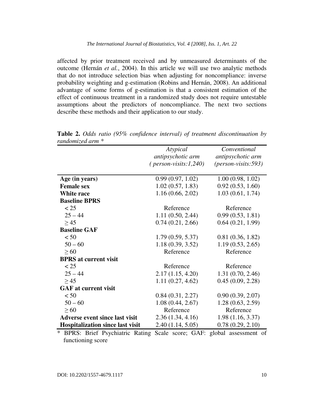affected by prior treatment received and by unmeasured determinants of the outcome (Hernán *et al.*, 2004). In this article we will use two analytic methods that do not introduce selection bias when adjusting for noncompliance: inverse probability weighting and g-estimation (Robins and Hernán, 2008). An additional advantage of some forms of g-estimation is that a consistent estimation of the effect of continuous treatment in a randomized study does not require untestable assumptions about the predictors of noncompliance. The next two sections describe these methods and their application to our study.

|                                         | Atypical                       | Conventional           |
|-----------------------------------------|--------------------------------|------------------------|
|                                         | antipsychotic arm              | antipsychotic arm      |
|                                         | $(\text{person-visits:1,240})$ | $(person-visits: 593)$ |
|                                         |                                |                        |
| Age (in years)                          | 0.99(0.97, 1.02)               | 1.00(0.98, 1.02)       |
| <b>Female sex</b>                       | 1.02(0.57, 1.83)               | 0.92(0.53, 1.60)       |
| White race                              | 1.16(0.66, 2.02)               | 1.03(0.61, 1.74)       |
| <b>Baseline BPRS</b>                    |                                |                        |
| < 25                                    | Reference                      | Reference              |
| $25 - 44$                               | 1.11(0.50, 2.44)               | 0.99(0.53, 1.81)       |
| $\geq$ 45                               | 0.74(0.21, 2.66)               | 0.64(0.21, 1.99)       |
| <b>Baseline GAF</b>                     |                                |                        |
| < 50                                    | 1.79(0.59, 5.37)               | 0.81(0.36, 1.82)       |
| $50 - 60$                               | 1.18(0.39, 3.52)               | 1.19(0.53, 2.65)       |
| $\geq 60$                               | Reference                      | Reference              |
| <b>BPRS</b> at current visit            |                                |                        |
| < 25                                    | Reference                      | Reference              |
| $25 - 44$                               | 2.17(1.15, 4.20)               | 1.31(0.70, 2.46)       |
| $\geq$ 45                               | 1.11(0.27, 4.62)               | 0.45(0.09, 2.28)       |
| <b>GAF</b> at current visit             |                                |                        |
| < 50                                    | 0.84(0.31, 2.27)               | 0.90(0.39, 2.07)       |
| $50 - 60$                               | 1.08(0.44, 2.67)               | 1.28(0.63, 2.59)       |
| $\geq 60$                               | Reference                      | Reference              |
| <b>Adverse event since last visit</b>   | 2.36(1.34, 4.16)               | 1.98(1.16, 3.37)       |
| <b>Hospitalization since last visit</b> | 2.40(1.14, 5.05)               | 0.78(0.29, 2.10)       |

**Table 2.** *Odds ratio (95% confidence interval) of treatment discontinuation by randomized arm \**

\* BPRS: Brief Psychiatric Rating Scale score; GAF: global assessment of functioning score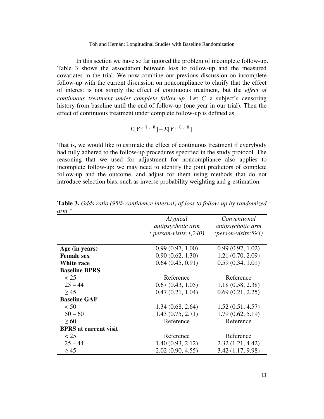In this section we have so far ignored the problem of incomplete follow-up. Table 3 shows the association between loss to follow-up and the measured covariates in the trial. We now combine our previous discussion on incomplete follow-up with the current discussion on noncompliance to clarify that the effect of interest is not simply the effect of continuous treatment, but the *effect of continuous treatment under complete follow-up.* Let  $\overline{C}$  a subject's censoring history from baseline until the end of follow-up (one year in our trial). Then the effect of continuous treatment under complete follow-up is defined as

$$
E[Y^{\overline{a}=\overline{1},\overline{c}=\overline{0}}]-E[Y^{\overline{a}=\overline{0},\overline{c}=\overline{0}}].
$$

That is, we would like to estimate the effect of continuous treatment if everybody had fully adhered to the follow-up procedures specified in the study protocol. The reasoning that we used for adjustment for noncompliance also applies to incomplete follow-up: we may need to identify the joint predictors of complete follow-up and the outcome, and adjust for them using methods that do not introduce selection bias, such as inverse probability weighting and g-estimation.

|                              | Atypical                       | Conventional             |
|------------------------------|--------------------------------|--------------------------|
|                              | antipsychotic arm              | <i>antipsychotic arm</i> |
|                              | $(\text{person-visits:1,240})$ | $(person-visits: 593)$   |
|                              |                                |                          |
| Age (in years)               | 0.99(0.97, 1.00)               | 0.99(0.97, 1.02)         |
| <b>Female sex</b>            | 0.90(0.62, 1.30)               | 1.21(0.70, 2.09)         |
| White race                   | 0.64(0.45, 0.91)               | 0.59(0.34, 1.01)         |
| <b>Baseline BPRS</b>         |                                |                          |
| < 25                         | Reference                      | Reference                |
| $25 - 44$                    | 0.67(0.43, 1.05)               | 1.18(0.58, 2.38)         |
| $\geq$ 45                    | 0.47(0.21, 1.04)               | 0.69(0.21, 2.25)         |
| <b>Baseline GAF</b>          |                                |                          |
| < 50                         | 1.34(0.68, 2.64)               | 1.52(0.51, 4.57)         |
| $50 - 60$                    | 1.43(0.75, 2.71)               | 1.79(0.62, 5.19)         |
| $\geq 60$                    | Reference                      | Reference                |
| <b>BPRS</b> at current visit |                                |                          |
| < 25                         | Reference                      | Reference                |
| $25 - 44$                    | 1.40(0.93, 2.12)               | 2.32(1.21, 4.42)         |
| $\geq$ 45                    | 2.02(0.90, 4.55)               | 3.42 (1.17, 9.98)        |

**Table 3.** *Odds ratio (95% confidence interval) of loss to follow-up by randomized arm \**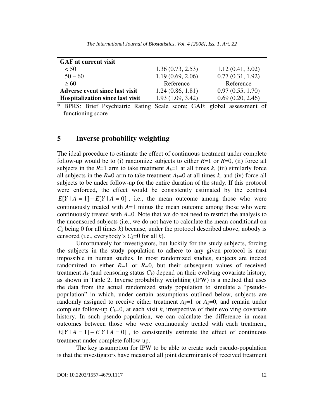| <b>GAF</b> at current visit             |                  |                  |
|-----------------------------------------|------------------|------------------|
| < 50                                    | 1.36(0.73, 2.53) | 1.12(0.41, 3.02) |
| $50 - 60$                               | 1.19(0.69, 2.06) | 0.77(0.31, 1.92) |
| > 60                                    | Reference        | Reference        |
| <b>Adverse event since last visit</b>   | 1.24(0.86, 1.81) | 0.97(0.55, 1.70) |
| <b>Hospitalization since last visit</b> | 1.93(1.09, 3.42) | 0.69(0.20, 2.46) |

*The International Journal of Biostatistics, Vol. 4 [2008], Iss. 1, Art. 22*

\* BPRS: Brief Psychiatric Rating Scale score; GAF: global assessment of functioning score

#### **5 Inverse probability weighting**

The ideal procedure to estimate the effect of continuous treatment under complete follow-up would be to (i) randomize subjects to either  $R=1$  or  $R=0$ , (ii) force all subjects in the  $R=1$  arm to take treatment  $A_k=1$  at all times  $k$ , (iii) similarly force all subjects in the  $R=0$  arm to take treatment  $A_k=0$  at all times k, and (iv) force all subjects to be under follow-up for the entire duration of the study. If this protocol were enforced, the effect would be consistently estimated by the contrast  $E[Y | \overline{A} = \overline{1}] - E[Y | \overline{A} = \overline{0}]$ , i.e., the mean outcome among those who were continuously treated with *A*=1 minus the mean outcome among those who were continuously treated with *A*=0. Note that we do not need to restrict the analysis to the uncensored subjects (i.e., we do not have to calculate the mean conditional on  $C_k$  being 0 for all times  $k$ ) because, under the protocol described above, nobody is censored (i.e., everybody's  $C_k=0$  for all *k*).

Unfortunately for investigators, but luckily for the study subjects, forcing the subjects in the study population to adhere to any given protocol is near impossible in human studies. In most randomized studies, subjects are indeed randomized to either  $R=1$  or  $R=0$ , but their subsequent values of received treatment  $A_k$  (and censoring status  $C_k$ ) depend on their evolving covariate history, as shown in Table 2. Inverse probability weighting (IPW) is a method that uses the data from the actual randomized study population to simulate a "pseudopopulation" in which, under certain assumptions outlined below, subjects are randomly assigned to receive either treatment  $A_k=1$  or  $A_k=0$ , and remain under complete follow-up  $C_k=0$ , at each visit k, irrespective of their evolving covariate history. In such pseudo-population, we can calculate the difference in mean outcomes between those who were continuously treated with each treatment,  $E[Y | \overline{A} = \overline{1}] - E[Y | \overline{A} = \overline{0}]$ , to consistently estimate the effect of continuous treatment under complete follow-up.

The key assumption for IPW to be able to create such pseudo-population is that the investigators have measured all joint determinants of received treatment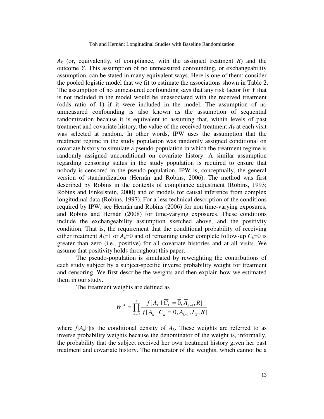*Ak* (or, equivalently, of compliance, with the assigned treatment *R*) and the outcome *Y*. This assumption of no unmeasured confounding, or exchangeability assumption, can be stated in many equivalent ways. Here is one of them: consider the pooled logistic model that we fit to estimate the associations shown in Table 2. The assumption of no unmeasured confounding says that any risk factor for *Y* that is not included in the model would be unassociated with the received treatment (odds ratio of 1) if it were included in the model. The assumption of no unmeasured confounding is also known as the assumption of sequential randomization because it is equivalent to assuming that, within levels of past treatment and covariate history, the value of the received treatment  $A_k$  at each visit was selected at random. In other words, IPW uses the assumption that the treatment regime in the study population was randomly assigned conditional on covariate history to simulate a pseudo-population in which the treatment regime is randomly assigned unconditional on covariate history. A similar assumption regarding censoring status in the study population is required to ensure that nobody is censored in the pseudo-population. IPW is, conceptually, the general version of standardization (Hernán and Robins, 2006). The method was first described by Robins in the contexts of compliance adjustment (Robins, 1993; Robins and Finkelstein, 2000) and of models for causal inference from complex longitudinal data (Robins, 1997). For a less technical description of the conditions required by IPW, see Hernán and Robins (2006) for non time-varying exposures, and Robins and Hernán (2008) for time-varying exposures. These conditions include the exchangeability assumption sketched above, and the positivity condition. That is, the requirement that the conditional probability of receiving either treatment  $A_k=1$  or  $A_k=0$  and of remaining under complete follow-up  $C_k=0$  is greater than zero (i.e., positive) for all covariate histories and at all visits. We assume that positivity holds throughout this paper.

The pseudo-population is simulated by reweighting the contributions of each study subject by a subject-specific inverse probability weight for treatment and censoring. We first describe the weights and then explain how we estimated them in our study.

The treatment weights are defined as

$$
W^A = \prod_{k=0}^4 \frac{f[A_k \mid \overline{C}_k = \overline{0}, \overline{A}_{k-1}, R]}{f[A_k \mid \overline{C}_k = \overline{0}, \overline{A}_{k-1}, \overline{L}_k, R]}
$$

where  $f[A_k]$  is the conditional density of  $A_k$ . These weights are referred to as inverse probability weights because the denominator of the weight is, informally, the probability that the subject received her own treatment history given her past treatment and covariate history. The numerator of the weights, which cannot be a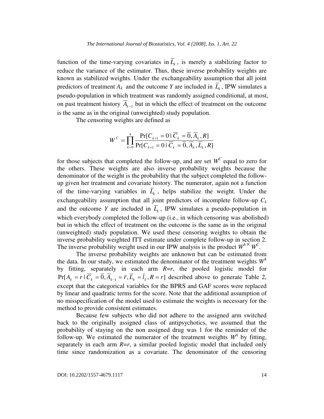function of the time-varying covariates in  $\overline{L}_k$ , is merely a stabilizing factor to reduce the variance of the estimator. Thus, these inverse probability weights are known as stabilized weights. Under the exchangeability assumption that all joint predictors of treatment  $A_k$  and the outcome *Y* are included in  $\overline{L}_k$ , IPW simulates a pseudo-population in which treatment was randomly assigned conditional, at most, on past treatment history  $\overline{A}_{k-1}$  but in which the effect of treatment on the outcome is the same as in the original (unweighted) study population.

The censoring weights are defined as

$$
W^C = \prod_{k=0}^4 \frac{\Pr[C_{k+1} = 0 \mid \overline{C}_k = \overline{0}, \overline{A}_k, R]}{\Pr[C_{k+1} = 0 \mid \overline{C}_k = \overline{0}, \overline{A}_k, \overline{L}_k, R]}
$$

for those subjects that completed the follow-up, and are set  $W^C$  equal to zero for the others. These weights are also inverse probability weights because the denominator of the weight is the probability that the subject completed the followup given her treatment and covariate history. The numerator, again not a function of the time-varying variables in  $\overline{L}_k$ , helps stabilize the weight. Under the exchangeability assumption that all joint predictors of incomplete follow-up  $C_k$ and the outcome *Y* are included in  $\overline{L}_k$ , IPW simulates a pseudo-population in which everybody completed the follow-up (i.e., in which censoring was abolished) but in which the effect of treatment on the outcome is the same as in the original (unweighted) study population. We used these censoring weights to obtain the inverse probability weighted ITT estimate under complete follow-up in section 2. The inverse probability weight used in our IPW analysis is the product  $W^{4}$ <sup> $\times$ </sup>  $W^{C}$ .

The inverse probability weights are unknown but can be estimated from the data. In our study, we estimated the denominator of the treatment weights  $W^A$ by fitting, separately in each arm *R*=*r*, the pooled logistic model for  $Pr[A_k = r \mid \overline{C}_k = \overline{0}, \overline{A}_{k-1} = \overline{r}, \overline{L}_k = \overline{l}_k, R = r]$  described above to generate Table 2, except that the categorical variables for the BPRS and GAF scores were replaced by linear and quadratic terms for the score. Note that the additional assumption of no misspecification of the model used to estimate the weights is necessary for the method to provide consistent estimates.

Because few subjects who did not adhere to the assigned arm switched back to the originally assigned class of antipsychotics, we assumed that the probability of staying on the non assigned drug was 1 for the reminder of the follow-up. We estimated the numerator of the treatment weights  $W^A$  by fitting, separately in each arm  $R=r$ , a similar pooled logistic model that included only time since randomization as a covariate. The denominator of the censoring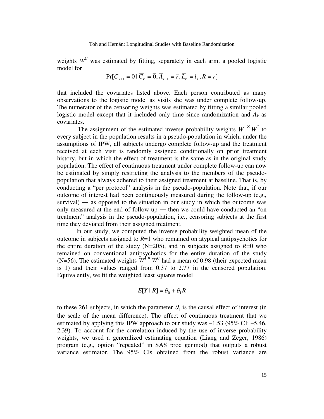weights  $W^C$  was estimated by fitting, separately in each arm, a pooled logistic model for

$$
Pr[C_{k+1} = 0 | \overline{C}_{k} = \overline{0}, \overline{A}_{k-1} = \overline{r}, \overline{L}_{k} = \overline{l}_{k}, R = r]
$$

that included the covariates listed above. Each person contributed as many observations to the logistic model as visits she was under complete follow-up. The numerator of the censoring weights was estimated by fitting a similar pooled logistic model except that it included only time since randomization and *Ak* as covariates.

The assignment of the estimated inverse probability weights  $W^{A} \times W^{C}$  to every subject in the population results in a pseudo-population in which, under the assumptions of IPW, all subjects undergo complete follow-up and the treatment received at each visit is randomly assigned conditionally on prior treatment history, but in which the effect of treatment is the same as in the original study population. The effect of continuous treatment under complete follow-up can now be estimated by simply restricting the analysis to the members of the pseudopopulation that always adhered to their assigned treatment at baseline. That is, by conducting a "per protocol" analysis in the pseudo-population. Note that, if our outcome of interest had been continuously measured during the follow-up (e.g.,  $survival$ ) — as opposed to the situation in our study in which the outcome was only measured at the end of follow-up ― then we could have conducted an "on treatment" analysis in the pseudo-population, i.e., censoring subjects at the first time they deviated from their assigned treatment.

In our study, we computed the inverse probability weighted mean of the outcome in subjects assigned to *R*=1 who remained on atypical antipsychotics for the entire duration of the study  $(N=205)$ , and in subjects assigned to  $R=0$  who remained on conventional antipsychotics for the entire duration of the study (N=56). The estimated weights  $W^4$ <sup>*×*</sup>  $W^C$  had a mean of 0.98 (their expected mean is 1) and their values ranged from 0.37 to 2.77 in the censored population. Equivalently, we fit the weighted least squares model

$$
E[Y \mid R] = \theta_0 + \theta_1 R
$$

to these 261 subjects, in which the parameter  $\theta_1$  is the causal effect of interest (in the scale of the mean difference). The effect of continuous treatment that we estimated by applying this IPW approach to our study was  $-1.53$  (95% CI:  $-5.46$ , 2.39). To account for the correlation induced by the use of inverse probability weights, we used a generalized estimating equation (Liang and Zeger, 1986) program (e.g., option "repeated" in SAS proc genmod) that outputs a robust variance estimator. The 95% CIs obtained from the robust variance are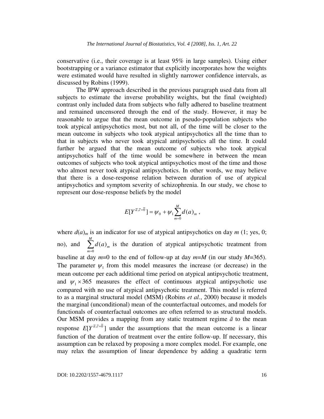conservative (i.e., their coverage is at least 95% in large samples). Using either bootstrapping or a variance estimator that explicitly incorporates how the weights were estimated would have resulted in slightly narrower confidence intervals, as discussed by Robins (1999).

The IPW approach described in the previous paragraph used data from all subjects to estimate the inverse probability weights, but the final (weighted) contrast only included data from subjects who fully adhered to baseline treatment and remained uncensored through the end of the study. However, it may be reasonable to argue that the mean outcome in pseudo-population subjects who took atypical antipsychotics most, but not all, of the time will be closer to the mean outcome in subjects who took atypical antipsychotics all the time than to that in subjects who never took atypical antipsychotics all the time. It could further be argued that the mean outcome of subjects who took atypical antipsychotics half of the time would be somewhere in between the mean outcomes of subjects who took atypical antipsychotics most of the time and those who almost never took atypical antipsychotics. In other words, we may believe that there is a dose-response relation between duration of use of atypical antipsychotics and symptom severity of schizophrenia. In our study, we chose to represent our dose-response beliefs by the model

$$
E[Y^{\bar{a},\bar{c}=\bar{0}}] = \psi_0 + \psi_1 \sum_{m=0}^{M} d(a)_m ,
$$

where  $d(a)_m$  is an indicator for use of atypical antipsychotics on day  $m$  (1; yes, 0; no), and  $\sum_{m=0}^{M}$ *m*  $d(a)_m$  $\mathbf{0}$  $(a)_m$  is the duration of atypical antipsychotic treatment from baseline at day  $m=0$  to the end of follow-up at day  $m=M$  (in our study  $M=365$ ). The parameter  $\psi_1$  from this model measures the increase (or decrease) in the mean outcome per each additional time period on atypical antipsychotic treatment, and  $\psi_1 \times 365$  measures the effect of continuous atypical antipsychotic use compared with no use of atypical antipsychotic treatment. This model is referred to as a marginal structural model (MSM) (Robins *et al.*, 2000) because it models the marginal (unconditional) mean of the counterfactual outcomes, and models for functionals of counterfactual outcomes are often referred to as structural models. Our MSM provides a mapping from any static treatment regime  $\bar{a}$  to the mean response  $E[Y^{\bar{a},\bar{c}=\bar{0}}]$  under the assumptions that the mean outcome is a linear function of the duration of treatment over the entire follow-up. If necessary, this assumption can be relaxed by proposing a more complex model. For example, one may relax the assumption of linear dependence by adding a quadratic term

DOI: 10.2202/1557-4679.1117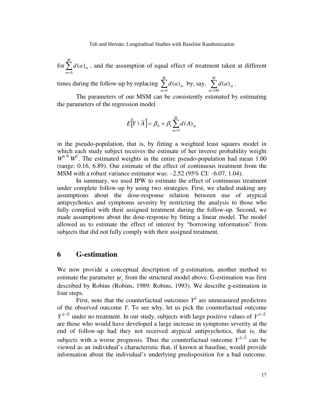for  $\sum_{m=0}^{M}$ *m*  $d(a)_m$  $\mathbf{0}$  $(a)_m$ , and the assumption of equal effect of treatment taken at different

times during the follow-up by replacing  $\sum_{m=0}^{M}$ *m*  $d(a)_m$  $\int_{0}^{M} d(a)_{m}$  by, say,  $\sum_{m=18}^{M}$ *m*  $d(a)_m$ 180  $(a)_{m}$ .

The parameters of our MSM can be consistently estimated by estimating the parameters of the regression model

$$
E[Y | \overline{A}] = \beta_0 + \beta_1 \sum_{m=0}^{M} d(A)_m
$$

in the pseudo-population, that is, by fitting a weighted least squares model in which each study subject receives the estimate of her inverse probability weight  $W^A$ <sup> $\times$ </sup> *W<sup>C</sup>*. The estimated weights in the entire pseudo-population had mean 1.00 (range: 0.16, 6.89). Our estimate of the effect of continuous treatment from the MSM with a robust variance estimator was: —2.52 (95% CI: —6.07, 1.04).

In summary, we used IPW to estimate the effect of continuous treatment under complete follow-up by using two strategies. First, we eluded making any assumptions about the dose-response relation between use of atypical antipsychotics and symptoms severity by restricting the analysis to those who fully complied with their assigned treatment during the follow-up. Second, we made assumptions about the dose-response by fitting a linear model. The model allowed us to estimate the effect of interest by "borrowing information" from subjects that did not fully comply with their assigned treatment.

#### **6 G-estimation**

We now provide a conceptual description of g-estimation, another method to estimate the parameter  $\psi_1$  from the structural model above. G-estimation was first described by Robins (Robins, 1989; Robins, 1993). We describe g-estimation in four steps.

First, note that the counterfactual outcomes  $Y^{\bar{a}}$  are unmeasured predictors of the observed outcome *Y*. To see why, let us pick the counterfactual outcome  $Y^{\bar{a}=\bar{0}}$  under no treatment. In our study, subjects with large positive values of  $Y^{\bar{a}=\bar{0}}$ are those who would have developed a large increase in symptoms severity at the end of follow-up had they not received atypical antipsychotics, that is, the subjects with a worse prognosis. Thus the counterfactual outcome  $Y^{\bar{a}=\bar{0}}$  can be viewed as an individual's characteristic that, if known at baseline, would provide information about the individual's underlying predisposition for a bad outcome.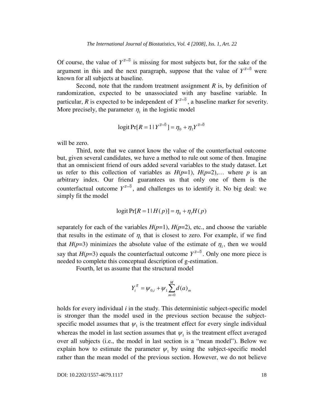Of course, the value of  $Y^{\bar{a}=\bar{0}}$  is missing for most subjects but, for the sake of the argument in this and the next paragraph, suppose that the value of  $Y^{\bar{a}=\bar{0}}$  were known for all subjects at baseline.

Second, note that the random treatment assignment *R* is, by definition of randomization, expected to be unassociated with any baseline variable. In particular, *R* is expected to be independent of  $Y^{\bar{a}=\bar{0}}$ , a baseline marker for severity. More precisely, the parameter  $\eta_1$  in the logistic model

$$
logit \Pr[R = 1 | Y^{\bar{a} = \bar{0}}] = \eta_0 + \eta_1 Y^{\bar{a} = \bar{0}}
$$

will be zero.

Third, note that we cannot know the value of the counterfactual outcome but, given several candidates, we have a method to rule out some of then. Imagine that an omniscient friend of ours added several variables to the study dataset. Let us refer to this collection of variables as  $H(p=1)$ ,  $H(p=2)$ ,... where p is an arbitrary index. Our friend guarantees us that only one of them is the counterfactual outcome  $Y^{\bar{a}=\bar{0}}$ , and challenges us to identify it. No big deal: we simply fit the model

$$
logit Pr[R = 1|H(p)] = \eta_0 + \eta_1 H(p)
$$

separately for each of the variables  $H(p=1)$ ,  $H(p=2)$ , etc., and choose the variable that results in the estimate of  $\eta_1$  that is closest to zero. For example, if we find that  $H(p=3)$  minimizes the absolute value of the estimate of  $\eta_1$ , then we would say that *H*( $p=3$ ) equals the counterfactual outcome  $Y^{\bar{a}=\bar{0}}$ . Only one more piece is needed to complete this conceptual description of g-estimation.

Fourth, let us assume that the structural model

$$
Y_i^{\bar{a}} = \psi_{0,i} + \psi_1 \sum_{m=0}^{M} d(a)_m
$$

holds for every individual *i* in the study. This deterministic subject-specific model is stronger than the model used in the previous section because the subjectspecific model assumes that  $\psi_1$  is the treatment effect for every single individual whereas the model in last section assumes that  $\psi_1$  is the treatment effect averaged over all subjects (i.e., the model in last section is a "mean model"). Below we explain how to estimate the parameter  $\psi_1$  by using the subject-specific model rather than the mean model of the previous section. However, we do not believe

DOI: 10.2202/1557-4679.1117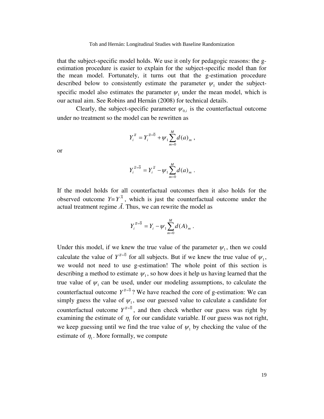that the subject-specific model holds. We use it only for pedagogic reasons: the gestimation procedure is easier to explain for the subject-specific model than for the mean model. Fortunately, it turns out that the g-estimation procedure described below to consistently estimate the parameter  $\psi_1$  under the subjectspecific model also estimates the parameter  $\psi_1$  under the mean model, which is our actual aim. See Robins and Hernán (2008) for technical details.

Clearly, the subject-specific parameter  $\psi_{0,i}$  is the counterfactual outcome under no treatment so the model can be rewritten as

$$
Y_i^{\bar{a}} = Y_i^{\bar{a}=\bar{0}} + \psi_1 \sum_{m=0}^M d(a)_m ,
$$

or

$$
Y_i^{\bar{a}=\bar{0}} = Y_i^{\bar{a}} - \psi_1 \sum_{m=0}^M d(a)_m.
$$

If the model holds for all counterfactual outcomes then it also holds for the observed outcome  $Y = Y^{\overline{A}}$ , which is just the counterfactual outcome under the actual treatment regime  $\overline{A}$ . Thus, we can rewrite the model as

$$
Y_i^{\bar{a}=\bar{0}} = Y_i - \psi_1 \sum_{m=0}^M d(A)_m .
$$

Under this model, if we knew the true value of the parameter  $\psi_1$ , then we could calculate the value of  $Y^{\bar{\sigma}=\bar{0}}$  for all subjects. But if we knew the true value of  $\psi_1$ , we would not need to use g-estimation! The whole point of this section is describing a method to estimate  $\psi_1$ , so how does it help us having learned that the true value of  $\psi_1$  can be used, under our modeling assumptions, to calculate the counterfactual outcome  $Y^{\bar{a}=\bar{0}}$ ? We have reached the core of g-estimation: We can simply guess the value of  $\psi_1$ , use our guessed value to calculate a candidate for counterfactual outcome  $Y^{\bar{a}=\bar{0}}$ , and then check whether our guess was right by examining the estimate of  $\eta_1$  for our candidate variable. If our guess was not right, we keep guessing until we find the true value of  $\psi_1$  by checking the value of the estimate of  $\eta_1$ . More formally, we compute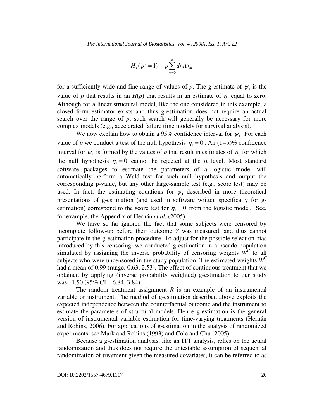$$
H_{i}(p) = Y_{i} - p \sum_{m=0}^{M} d(A)_{m}
$$

for a sufficiently wide and fine range of values of  $p$ . The g-estimate of  $\psi_1$  is the value of *p* that results in an  $H(p)$  that results in an estimate of  $\eta_1$  equal to zero. Although for a linear structural model, like the one considered in this example, a closed form estimator exists and thus g-estimation does not require an actual search over the range of *p*, such search will generally be necessary for more complex models (e.g., accelerated failure time models for survival analysis).

We now explain how to obtain a 95% confidence interval for  $\psi_1$ . For each value of *p* we conduct a test of the null hypothesis  $\eta_1 = 0$ . An  $(1-\alpha)\%$  confidence interval for  $\psi_1$  is formed by the values of p that result in estimates of  $\eta_1$  for which the null hypothesis  $\eta_1 = 0$  cannot be rejected at the  $\alpha$  level. Most standard software packages to estimate the parameters of a logistic model will automatically perform a Wald test for such null hypothesis and output the corresponding p-value, but any other large-sample test (e.g., score test) may be used. In fact, the estimating equations for  $\psi_1$  described in more theoretical presentations of g-estimation (and used in software written specifically for gestimation) correspond to the score test for  $\eta_1 = 0$  from the logistic model. See, for example, the Appendix of Hernán *et al.* (2005).

We have so far ignored the fact that some subjects were censored by incomplete follow-up before their outcome *Y* was measured, and thus cannot participate in the g-estimation procedure. To adjust for the possible selection bias introduced by this censoring, we conducted g-estimation in a pseudo-population simulated by assigning the inverse probability of censoring weights  $\overline{W}^C$  to all subjects who were uncensored in the study population. The estimated weights *WC* had a mean of 0.99 (range: 0.63, 2.53). The effect of continuous treatment that we obtained by applying (inverse probability weighted) g-estimation to our study was —1.50 (95% CI: —6.84, 3.84).

The random treatment assignment  $R$  is an example of an instrumental variable or instrument. The method of g-estimation described above exploits the expected independence between the counterfactual outcome and the instrument to estimate the parameters of structural models. Hence g-estimation is the general version of instrumental variable estimation for time-varying treatments (Hernán and Robins, 2006). For applications of g-estimation in the analysis of randomized experiments, see Mark and Robins (1993) and Cole and Chu (2005).

Because a g-estimation analysis, like an ITT analysis, relies on the actual randomization and thus does not require the untestable assumption of sequential randomization of treatment given the measured covariates, it can be referred to as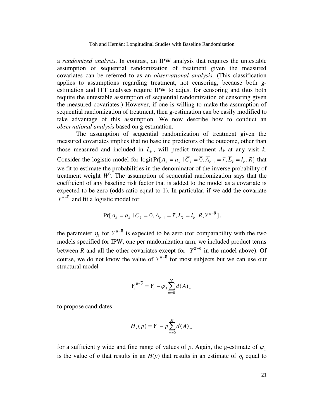a *randomized analysis*. In contrast, an IPW analysis that requires the untestable assumption of sequential randomization of treatment given the measured covariates can be referred to as an *observational analysis*. (This classification applies to assumptions regarding treatment, not censoring, because both gestimation and ITT analyses require IPW to adjust for censoring and thus both require the untestable assumption of sequential randomization of censoring given the measured covariates.) However, if one is willing to make the assumption of sequential randomization of treatment, then g-estimation can be easily modified to take advantage of this assumption. We now describe how to conduct an *observational analysis* based on g-estimation.

The assumption of sequential randomization of treatment given the measured covariates implies that no baseline predictors of the outcome, other than those measured and included in  $\overline{L}_k$ , will predict treatment  $A_k$  at any visit  $k$ . Consider the logistic model for logit Pr[ $A_k = a_k \mid \overline{C}_k = \overline{0}, \overline{A}_{k-1} = \overline{r}, \overline{L}_k = \overline{l}_k, R$ ] that we fit to estimate the probabilities in the denominator of the inverse probability of treatment weight  $W^A$ . The assumption of sequential randomization says that the coefficient of any baseline risk factor that is added to the model as a covariate is expected to be zero (odds ratio equal to 1). In particular, if we add the covariate  $Y^{\bar{a}=\bar{0}}$  and fit a logistic model for

$$
\Pr[A_k = a_k \mid \overline{C}_k = \overline{0}, \overline{A}_{k-1} = \overline{r}, \overline{L}_k = \overline{l}_k, R, Y^{\overline{a} = \overline{0}}],
$$

the parameter  $\eta_1$  for  $Y^{\bar{a}=\bar{0}}$  is expected to be zero (for comparability with the two models specified for IPW, one per randomization arm, we included product terms between *R* and all the other covariates except for  $Y^{\bar{a}=\bar{0}}$  in the model above). Of course, we do not know the value of  $Y^{\bar{a}=\bar{0}}$  for most subjects but we can use our structural model

$$
Y_i^{\bar{a}=\bar{0}} = Y_i - \psi_1 \sum_{m=0}^{M} d(A)_{m}
$$

to propose candidates

$$
H_{i}(p) = Y_{i} - p \sum_{m=0}^{M} d(A)_{m}
$$

for a sufficiently wide and fine range of values of p. Again, the g-estimate of  $\psi_1$ is the value of *p* that results in an  $H(p)$  that results in an estimate of  $\eta_1$  equal to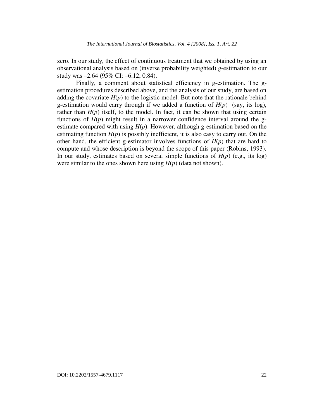zero. In our study, the effect of continuous treatment that we obtained by using an observational analysis based on (inverse probability weighted) g-estimation to our study was —2.64 (95% CI: —6.12, 0.84).

Finally, a comment about statistical efficiency in g-estimation. The gestimation procedures described above, and the analysis of our study, are based on adding the covariate  $H(p)$  to the logistic model. But note that the rationale behind g-estimation would carry through if we added a function of *H*(*p*) (say, its log), rather than  $H(p)$  itself, to the model. In fact, it can be shown that using certain functions of  $H(p)$  might result in a narrower confidence interval around the gestimate compared with using  $H(p)$ . However, although g-estimation based on the estimating function  $H(p)$  is possibly inefficient, it is also easy to carry out. On the other hand, the efficient g-estimator involves functions of  $H(p)$  that are hard to compute and whose description is beyond the scope of this paper (Robins, 1993). In our study, estimates based on several simple functions of  $H(p)$  (e.g., its log) were similar to the ones shown here using  $H(p)$  (data not shown).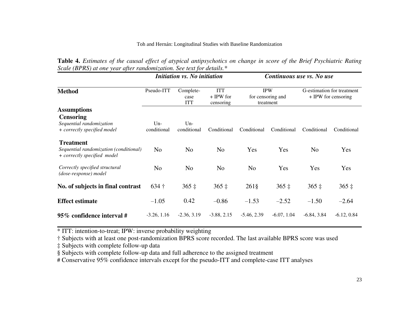|  |  |  | Table 4. Estimates of the causal effect of atypical antipsychotics on change in score of the Brief Psychiatric Rating |  |  |  |  |
|--|--|--|-----------------------------------------------------------------------------------------------------------------------|--|--|--|--|
|  |  |  | Scale (BPRS) at one year after randomization. See text for details.*                                                  |  |  |  |  |

|                                                                                           |                      | Initiation vs. No initiation    |                                        | Continuous use vs. No use |                                              |                                                   |               |  |
|-------------------------------------------------------------------------------------------|----------------------|---------------------------------|----------------------------------------|---------------------------|----------------------------------------------|---------------------------------------------------|---------------|--|
| <b>Method</b>                                                                             | Pseudo-ITT           | Complete-<br>case<br><b>ITT</b> | <b>ITT</b><br>$+ IPW$ for<br>censoring |                           | <b>IPW</b><br>for censoring and<br>treatment | G-estimation for treatment<br>+ IPW for censoring |               |  |
| <b>Assumptions</b>                                                                        |                      |                                 |                                        |                           |                                              |                                                   |               |  |
| <b>Censoring</b><br>Sequential randomization<br>+ correctly specified model               | $Un-$<br>conditional | $Un-$<br>conditional            | Conditional                            | Conditional               | Conditional                                  | Conditional                                       | Conditional   |  |
| <b>Treatment</b><br>Sequential randomization (conditional)<br>+ correctly specified model | N <sub>o</sub>       | N <sub>o</sub>                  | N <sub>o</sub>                         | Yes                       | Yes                                          | No                                                | Yes           |  |
| Correctly specified structural<br>(dose-response) model                                   | N <sub>o</sub>       | N <sub>o</sub>                  | N <sub>o</sub>                         | N <sub>o</sub>            | Yes                                          | Yes                                               | Yes           |  |
| No. of subjects in final contrast                                                         | $634 +$              | $365 \;$ ‡                      | $365 \pm$                              | $261\$                    | $365 \;$ ‡                                   | $365 \;$ ‡                                        | $365 \;$ ‡    |  |
| <b>Effect estimate</b>                                                                    | $-1.05$              | 0.42                            | $-0.86$                                | $-1.53$                   | $-2.52$                                      | $-1.50$                                           | $-2.64$       |  |
| 95% confidence interval #                                                                 | $-3.26, 1.16$        | $-2.36, 3.19$                   | $-3.88, 2.15$                          | $-5.46, 2.39$             | $-6.07, 1.04$                                | $-6.84, 3.84$                                     | $-6.12, 0.84$ |  |

\* ITT: intention-to-treat; IPW: inverse probability weighting

† Subjects with at least one post-randomization BPRS score recorded. The last available BPRS score was used

‡ Subjects with complete follow-up data

§ Subjects with complete follow-up data and full adherence to the assigned treatment

# Conservative 95% confidence intervals except for the pseudo-ITT and complete-case ITT analyses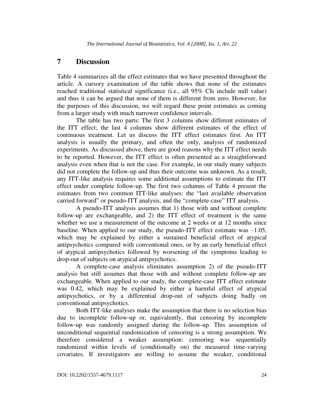### **7 Discussion**

Table 4 summarizes all the effect estimates that we have presented throughout the article. A cursory examination of the table shows that none of the estimates reached traditional statistical significance (i.e., all 95% CIs include null value) and thus it can be argued that none of them is different from zero. However, for the purposes of this discussion, we will regard these point estimates as coming from a larger study with much narrower confidence intervals.

The table has two parts: The first 3 columns show different estimates of the ITT effect; the last 4 columns show different estimates of the effect of continuous treatment. Let us discuss the ITT effect estimates first. An ITT analysis is usually the primary, and often the only, analysis of randomized experiments. As discussed above, there are good reasons why the ITT effect needs to be reported. However, the ITT effect is often presented as a straightforward analysis even when that is not the case. For example, in our study many subjects did not complete the follow-up and thus their outcome was unknown. As a result, any ITT-like analysis requires some additional assumptions to estimate the ITT effect under complete follow-up. The first two columns of Table 4 present the estimates from two common ITT-like analyses: the "last available observation carried forward" or pseudo-ITT analysis, and the "complete-case" ITT analysis.

A pseudo-ITT analysis assumes that 1) those with and without complete follow-up are exchangeable, and 2) the ITT effect of treatment is the same whether we use a measurement of the outcome at 2 weeks or at 12 months since baseline. When applied to our study, the pseudo-ITT effect estimate was  $-1.05$ , which may be explained by either a sustained beneficial effect of atypical antipsychotics compared with conventional ones, or by an early beneficial effect of atypical antipsychotics followed by worsening of the symptoms leading to drop-out of subjects on atypical antipsychotics.

A complete-case analysis eliminates assumption 2) of the pseudo-ITT analysis but still assumes that those with and without complete follow-up are exchangeable. When applied to our study, the complete-case ITT effect estimate was 0.42, which may be explained by either a harmful effect of atypical antipsychotics, or by a differential drop-out of subjects doing badly on conventional antipsychotics.

Both ITT-like analyses make the assumption that there is no selection bias due to incomplete follow-up or, equivalently, that censoring by incomplete follow-up was randomly assigned during the follow-up. This assumption of unconditional sequential randomization of censoring is a strong assumption. We therefore considered a weaker assumption: censoring was sequentially randomized within levels of (conditionally on) the measured time-varying covariates. If investigators are willing to assume the weaker, conditional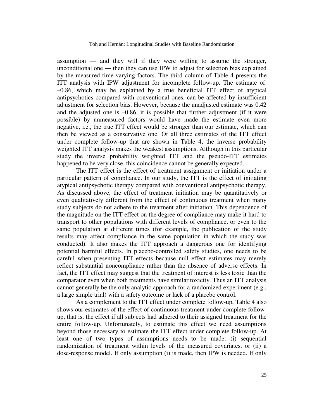assumption ― and they will if they were willing to assume the stronger, unconditional one — then they can use IPW to adjust for selection bias explained by the measured time-varying factors. The third column of Table 4 presents the ITT analysis with IPW adjustment for incomplete follow-up. The estimate of —0.86, which may be explained by a true beneficial ITT effect of atypical antipsychotics compared with conventional ones, can be affected by insufficient adjustment for selection bias. However, because the unadjusted estimate was 0.42 and the adjusted one is  $-0.86$ , it is possible that further adjustment (if it were possible) by unmeasured factors would have made the estimate even more negative, i.e., the true ITT effect would be stronger than our estimate, which can then be viewed as a conservative one. Of all three estimates of the ITT effect under complete follow-up that are shown in Table 4, the inverse probability weighted ITT analysis makes the weakest assumptions. Although in this particular study the inverse probability weighted ITT and the pseudo-ITT estimates happened to be very close, this coincidence cannot be generally expected.

The ITT effect is the effect of treatment assignment or initiation under a particular pattern of compliance. In our study, the ITT is the effect of initiating atypical antipsychotic therapy compared with conventional antipsychotic therapy. As discussed above, the effect of treatment initiation may be quantitatively or even qualitatively different from the effect of continuous treatment when many study subjects do not adhere to the treatment after initiation. This dependence of the magnitude on the ITT effect on the degree of compliance may make it hard to transport to other populations with different levels of compliance, or even to the same population at different times (for example, the publication of the study results may affect compliance in the same population in which the study was conducted). It also makes the ITT approach a dangerous one for identifying potential harmful effects. In placebo-controlled safety studies, one needs to be careful when presenting ITT effects because null effect estimates may merely reflect substantial noncompliance rather than the absence of adverse effects. In fact, the ITT effect may suggest that the treatment of interest is less toxic than the comparator even when both treatments have similar toxicity. Thus an ITT analysis cannot generally be the only analytic approach for a randomized experiment (e.g., a large simple trial) with a safety outcome or lack of a placebo control.

As a complement to the ITT effect under complete follow-up, Table 4 also shows our estimates of the effect of continuous treatment under complete followup, that is, the effect if all subjects had adhered to their assigned treatment for the entire follow-up. Unfortunately, to estimate this effect we need assumptions beyond those necessary to estimate the ITT effect under complete follow-up. At least one of two types of assumptions needs to be made: (i) sequential randomization of treatment within levels of the measured covariates, or (ii) a dose-response model. If only assumption (i) is made, then IPW is needed. If only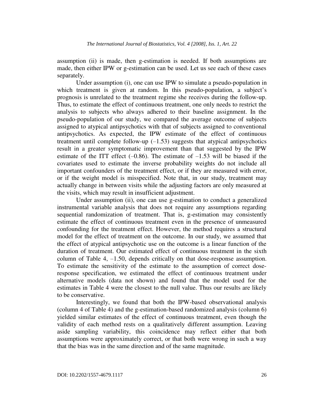assumption (ii) is made, then g-estimation is needed. If both assumptions are made, then either IPW or g-estimation can be used. Let us see each of these cases separately.

Under assumption (i), one can use IPW to simulate a pseudo-population in which treatment is given at random. In this pseudo-population, a subject's prognosis is unrelated to the treatment regime she receives during the follow-up. Thus, to estimate the effect of continuous treatment, one only needs to restrict the analysis to subjects who always adhered to their baseline assignment. In the pseudo-population of our study, we compared the average outcome of subjects assigned to atypical antipsychotics with that of subjects assigned to conventional antipsychotics. As expected, the IPW estimate of the effect of continuous treatment until complete follow-up  $(-1.53)$  suggests that atypical antipsychotics result in a greater symptomatic improvement than that suggested by the IPW estimate of the ITT effect  $(-0.86)$ . The estimate of  $-1.53$  will be biased if the covariates used to estimate the inverse probability weights do not include all important confounders of the treatment effect, or if they are measured with error, or if the weight model is misspecified. Note that, in our study, treatment may actually change in between visits while the adjusting factors are only measured at the visits, which may result in insufficient adjustment.

Under assumption (ii), one can use g-estimation to conduct a generalized instrumental variable analysis that does not require any assumptions regarding sequential randomization of treatment. That is, g-estimation may consistently estimate the effect of continuous treatment even in the presence of unmeasured confounding for the treatment effect. However, the method requires a structural model for the effect of treatment on the outcome. In our study, we assumed that the effect of atypical antipsychotic use on the outcome is a linear function of the duration of treatment. Our estimated effect of continuous treatment in the sixth column of Table 4, —1.50, depends critically on that dose-response assumption. To estimate the sensitivity of the estimate to the assumption of correct doseresponse specification, we estimated the effect of continuous treatment under alternative models (data not shown) and found that the model used for the estimates in Table 4 were the closest to the null value. Thus our results are likely to be conservative.

Interestingly, we found that both the IPW-based observational analysis (column 4 of Table 4) and the g-estimation-based randomized analysis (column 6) yielded similar estimates of the effect of continuous treatment, even though the validity of each method rests on a qualitatively different assumption. Leaving aside sampling variability, this coincidence may reflect either that both assumptions were approximately correct, or that both were wrong in such a way that the bias was in the same direction and of the same magnitude.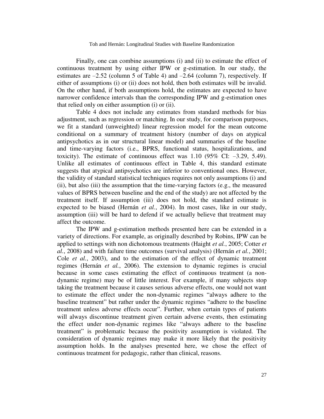Finally, one can combine assumptions (i) and (ii) to estimate the effect of continuous treatment by using either IPW or g-estimation. In our study, the estimates are  $-2.52$  (column 5 of Table 4) and  $-2.64$  (column 7), respectively. If either of assumptions (i) or (ii) does not hold, then both estimates will be invalid. On the other hand, if both assumptions hold, the estimates are expected to have narrower confidence intervals than the corresponding IPW and g-estimation ones that relied only on either assumption (i) or (ii).

Table 4 does not include any estimates from standard methods for bias adjustment, such as regression or matching. In our study, for comparison purposes, we fit a standard (unweighted) linear regression model for the mean outcome conditional on a summary of treatment history (number of days on atypical antipsychotics as in our structural linear model) and summaries of the baseline and time-varying factors (i.e., BPRS, functional status, hospitalizations, and toxicity). The estimate of continuous effect was  $1.10$  (95% CI:  $-3.29$ , 5.49). Unlike all estimates of continuous effect in Table 4, this standard estimate suggests that atypical antipsychotics are inferior to conventional ones. However, the validity of standard statistical techniques requires not only assumptions (i) and (ii), but also (iii) the assumption that the time-varying factors (e.g., the measured values of BPRS between baseline and the end of the study) are not affected by the treatment itself. If assumption (iii) does not hold, the standard estimate is expected to be biased (Hernán *et al.*, 2004). In most cases, like in our study, assumption (iii) will be hard to defend if we actually believe that treatment may affect the outcome.

The IPW and g-estimation methods presented here can be extended in a variety of directions. For example, as originally described by Robins, IPW can be applied to settings with non dichotomous treatments (Haight *et al.*, 2005; Cotter *et al.*, 2008) and with failure time outcomes (survival analysis) (Hernán *et al.*, 2001; Cole *et al.*, 2003), and to the estimation of the effect of dynamic treatment regimes (Hernán *et al.*, 2006). The extension to dynamic regimes is crucial because in some cases estimating the effect of continuous treatment (a nondynamic regime) may be of little interest. For example, if many subjects stop taking the treatment because it causes serious adverse effects, one would not want to estimate the effect under the non-dynamic regimes "always adhere to the baseline treatment" but rather under the dynamic regimes "adhere to the baseline treatment unless adverse effects occur". Further, when certain types of patients will always discontinue treatment given certain adverse events, then estimating the effect under non-dynamic regimes like "always adhere to the baseline treatment" is problematic because the positivity assumption is violated. The consideration of dynamic regimes may make it more likely that the positivity assumption holds. In the analyses presented here, we chose the effect of continuous treatment for pedagogic, rather than clinical, reasons.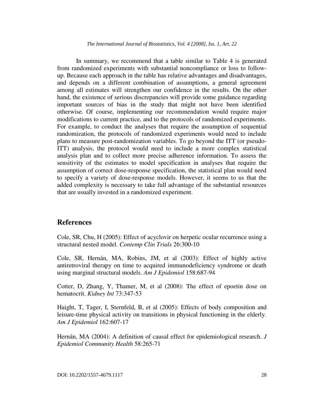In summary, we recommend that a table similar to Table 4 is generated from randomized experiments with substantial noncompliance or loss to followup. Because each approach in the table has relative advantages and disadvantages, and depends on a different combination of assumptions, a general agreement among all estimates will strengthen our confidence in the results. On the other hand, the existence of serious discrepancies will provide some guidance regarding important sources of bias in the study that might not have been identified otherwise. Of course, implementing our recommendation would require major modifications to current practice, and to the protocols of randomized experiments. For example, to conduct the analyses that require the assumption of sequential randomization, the protocols of randomized experiments would need to include plans to measure post-randomization variables. To go beyond the ITT (or pseudo-ITT) analysis, the protocol would need to include a more complex statistical analysis plan and to collect more precise adherence information. To assess the sensitivity of the estimates to model specification in analyses that require the assumption of correct dose-response specification, the statistical plan would need to specify a variety of dose-response models. However, it seems to us that the added complexity is necessary to take full advantage of the substantial resources that are usually invested in a randomized experiment.

#### **References**

Cole, SR, Chu, H (2005): Effect of acyclovir on herpetic ocular recurrence using a structural nested model. *Contemp Clin Trials* 26:300-10

Cole, SR, Hernán, MA, Robins, JM, et al (2003): Effect of highly active antiretroviral therapy on time to acquired immunodeficiency syndrome or death using marginal structural models. *Am J Epidemiol* 158:687-94

Cotter, D, Zhang, Y, Thamer, M, et al (2008): The effect of epoetin dose on hematocrit. *Kidney Int* 73:347-53

Haight, T, Tager, I, Sternfeld, B, et al (2005): Effects of body composition and leisure-time physical activity on transitions in physical functioning in the elderly. *Am J Epidemiol* 162:607-17

Hernán, MA (2004): A definition of causal effect for epidemiological research. *J Epidemiol Community Health* 58:265-71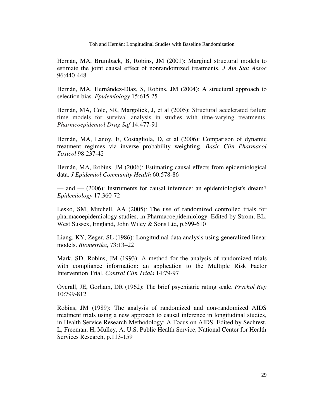Hernán, MA, Brumback, B, Robins, JM (2001): Marginal structural models to estimate the joint causal effect of nonrandomized treatments. *J Am Stat Assoc* 96:440-448

Hernán, MA, Hernández-Díaz, S, Robins, JM (2004): A structural approach to selection bias. *Epidemiology* 15:615-25

Hernán, MA, Cole, SR, Margolick, J, et al (2005): Structural accelerated failure time models for survival analysis in studies with time-varying treatments. *Pharmcoepidemiol Drug Saf* 14:477-91

Hernán, MA, Lanoy, E, Costagliola, D, et al (2006): Comparison of dynamic treatment regimes via inverse probability weighting. *Basic Clin Pharmacol Toxicol* 98:237-42

Hernán, MA, Robins, JM (2006): Estimating causal effects from epidemiological data. *J Epidemiol Community Health* 60:578-86

— and — (2006): Instruments for causal inference: an epidemiologist's dream? *Epidemiology* 17:360-72

Lesko, SM, Mitchell, AA (2005): The use of randomized controlled trials for pharmacoepidemiology studies, in Pharmacoepidemiology. Edited by Strom, BL. West Sussex, England, John Wiley & Sons Ltd, p.599-610

Liang, KY, Zeger, SL (1986): Longitudinal data analysis using generalized linear models. *Biometrika*, 73:13–22

Mark, SD, Robins, JM (1993): A method for the analysis of randomized trials with compliance information: an application to the Multiple Risk Factor Intervention Trial. *Control Clin Trials* 14:79-97

Overall, JE, Gorham, DR (1962): The brief psychiatric rating scale. *Psychol Rep* 10:799-812

Robins, JM (1989): The analysis of randomized and non-randomized AIDS treatment trials using a new approach to causal inference in longitudinal studies, in Health Service Research Methodology: A Focus on AIDS. Edited by Sechrest, L, Freeman, H, Mulley, A. U.S. Public Health Service, National Center for Health Services Research, p.113-159